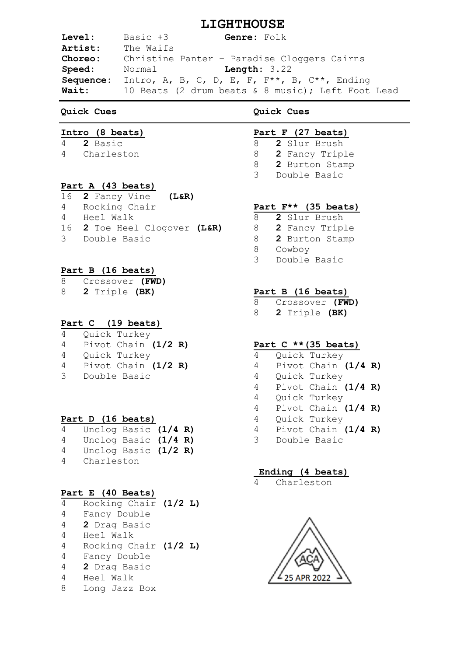# **LIGHTHOUSE**

**Level:** Basic +3 **Genre:** Folk **Artist:** The Waifs **Choreo:** Christine Panter – Paradise Cloggers Cairns **Speed:** Normal **Length:** 3.22 **Sequence:** Intro, A, B, C, D, E, F, F\*\*, B, C\*\*, Ending **Wait:** 10 Beats (2 drum beats & 8 music); Left Foot Lead

# **Quick Cues**

# **Intro (8 beats)**

4 **2** Basic

4 Charleston

# **Part A (43 beats)**

| 16 2 Fancy Vine (L&R)        |  |
|------------------------------|--|
| 4 Rocking Chair              |  |
| 4 Heel Walk                  |  |
| 16 2 Toe Heel Clogover (L&R) |  |
| 3 Double Basic               |  |

# **Part B (16 beats)**

| 8 | Crossover (FWD) |     |
|---|-----------------|-----|
|   |                 | . . |

8 **2** Triple **(BK)**

## **Part C (19 beats)**

| 4 | Quick Turkey          |  |
|---|-----------------------|--|
| 4 | Pivot Chain $(1/2 R)$ |  |

- 4 Quick Turkey
- 4 Pivot Chain **(1/2 R)**
- 3 Double Basic

## **Part D (16 beats)**

| 4 | Unclog Basic (1/4 R)   |  |  |
|---|------------------------|--|--|
| 4 | Unclog Basic (1/4 R)   |  |  |
| 4 | Unclog Basic $(1/2 R)$ |  |  |
| 4 | Charleston             |  |  |

## **Part E (40 Beats)**

| 4              | Rocking Chair (1/2 L) |  |
|----------------|-----------------------|--|
| 4              | Fancy Double          |  |
| 4              | 2 Drag Basic          |  |
| $\overline{4}$ | Heel Walk             |  |
| 4              | Rocking Chair (1/2 L) |  |
| 4              | Fancy Double          |  |
| 4              | 2 Drag Basic          |  |
| 4              | Heel Walk             |  |
| 8              | Long Jazz Box         |  |

# **Quick Cues**

# **Part F (27 beats)**

- 8 **2** Slur Brush
- 8 **2** Fancy Triple
- 8 **2** Burton Stamp
- 3 Double Basic

# **Part F\*\* (35 beats)**

- 8 **2** Slur Brush
- 8 **2** Fancy Triple
- 8 **2** Burton Stamp
- 8 Cowboy
- 3 Double Basic

# **Part B (16 beats)**

8 Crossover **(FWD)**

8 **2** Triple **(BK)**

# **Part C \*\*(35 beats)**

- 4 Quick Turkey 4 Pivot Chain **(1/4 R)** 4 Quick Turkey 4 Pivot Chain **(1/4 R)** 4 Quick Turkey 4 Pivot Chain **(1/4 R)** 4 Quick Turkey 4 Pivot Chain **(1/4 R)**
- 3 Double Basic

## **Ending (4 beats)**

Charleston